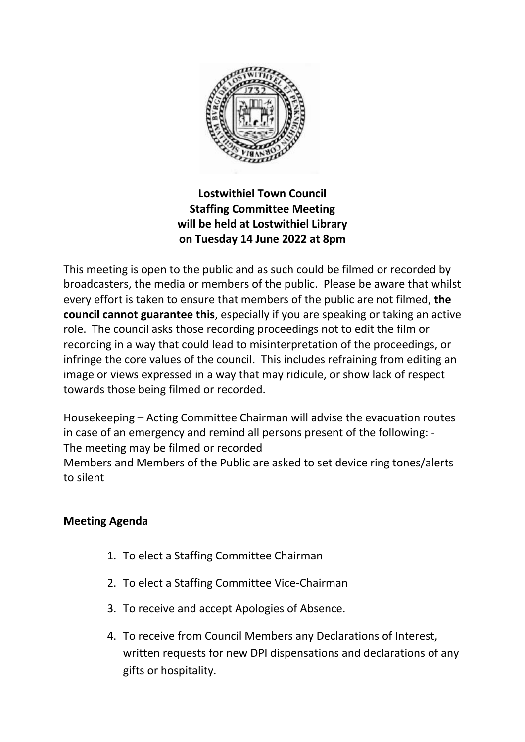

## **Lostwithiel Town Council Staffing Committee Meeting will be held at Lostwithiel Library on Tuesday 14 June 2022 at 8pm**

This meeting is open to the public and as such could be filmed or recorded by broadcasters, the media or members of the public. Please be aware that whilst every effort is taken to ensure that members of the public are not filmed, **the council cannot guarantee this**, especially if you are speaking or taking an active role. The council asks those recording proceedings not to edit the film or recording in a way that could lead to misinterpretation of the proceedings, or infringe the core values of the council. This includes refraining from editing an image or views expressed in a way that may ridicule, or show lack of respect towards those being filmed or recorded.

Housekeeping – Acting Committee Chairman will advise the evacuation routes in case of an emergency and remind all persons present of the following: - The meeting may be filmed or recorded

Members and Members of the Public are asked to set device ring tones/alerts to silent

## **Meeting Agenda**

- 1. To elect a Staffing Committee Chairman
- 2. To elect a Staffing Committee Vice-Chairman
- 3. To receive and accept Apologies of Absence.
- 4. To receive from Council Members any Declarations of Interest, written requests for new DPI dispensations and declarations of any gifts or hospitality.